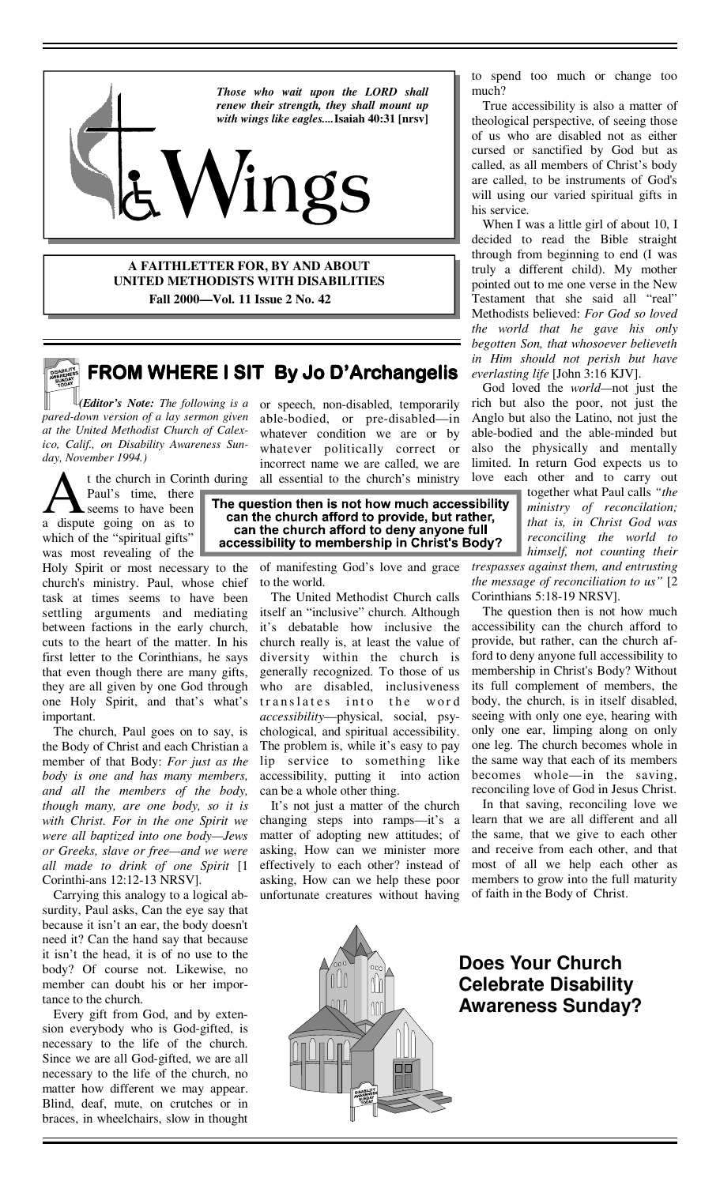

**A FAITHLETTER FOR, BY AND ABOUT UNITED METHODISTS WITH DISABILITIES Fall 2000—Vol. 11 Issue 2 No. 42** 



# **FROM WHERE I SIT By Jo D'Archangelis**

*(Editor's Note: The following is a pared-down version of a lay sermon given at the United Methodist Church of Calexico, Calif., on Disability Awareness Sunday, November 1994.)*

Paul's time, there seems to have been a dispute going on as to which of the "spiritual gifts" was most revealing of the

Holy Spirit or most necessary to the church's ministry. Paul, whose chief task at times seems to have been settling arguments and mediating between factions in the early church, cuts to the heart of the matter. In his first letter to the Corinthians, he says that even though there are many gifts, they are all given by one God through one Holy Spirit, and that's what's important.

 The church, Paul goes on to say, is the Body of Christ and each Christian a member of that Body: *For just as the body is one and has many members, and all the members of the body, though many, are one body, so it is with Christ. For in the one Spirit we were all baptized into one body—Jews or Greeks, slave or free—and we were all made to drink of one Spirit* [1 Corinthi-ans 12:12-13 NRSV].

 Carrying this analogy to a logical absurdity, Paul asks, Can the eye say that because it isn't an ear, the body doesn't need it? Can the hand say that because it isn't the head, it is of no use to the body? Of course not. Likewise, no member can doubt his or her importance to the church.

 Every gift from God, and by extension everybody who is God-gifted, is necessary to the life of the church. Since we are all God-gifted, we are all necessary to the life of the church, no matter how different we may appear. Blind, deaf, mute, on crutches or in braces, in wheelchairs, slow in thought

or speech, non-disabled, temporarily able-bodied, or pre-disabled—in whatever condition we are or by whatever politically correct or incorrect name we are called, we are all essential to the church's ministry

t the church in Corinth during all essential to the church's ministry love expansion there exems to have been<br>te seems to have been<br>te going on as to **an the church afford to provide, but rather,**<br>can the church afford to accessibility to membership in Christ's Body?

> of manifesting God's love and grace to the world.

 The United Methodist Church calls itself an "inclusive" church. Although it's debatable how inclusive the church really is, at least the value of diversity within the church is generally recognized. To those of us who are disabled, inclusiveness translates into the word *accessibility*—physical, social, psychological, and spiritual accessibility. The problem is, while it's easy to pay lip service to something like accessibility, putting it into action can be a whole other thing.

 It's not just a matter of the church changing steps into ramps—it's a matter of adopting new attitudes; of asking, How can we minister more effectively to each other? instead of asking, How can we help these poor unfortunate creatures without having

to spend too much or change too much?

 True accessibility is also a matter of theological perspective, of seeing those of us who are disabled not as either cursed or sanctified by God but as called, as all members of Christ's body are called, to be instruments of God's will using our varied spiritual gifts in his service.

 When I was a little girl of about 10, I decided to read the Bible straight through from beginning to end (I was truly a different child). My mother pointed out to me one verse in the New Testament that she said all "real" Methodists believed: *For God so loved the world that he gave his only begotten Son, that whosoever believeth in Him should not perish but have everlasting life* [John 3:16 KJV].

 God loved the *world—*not just the rich but also the poor, not just the Anglo but also the Latino, not just the able-bodied and the able-minded but also the physically and mentally limited. In return God expects us to love each other and to carry out

together what Paul calls *"the ministry of reconcilation; that is, in Christ God was reconciling the world to himself, not counting their* 

*trespasses against them, and entrusting the message of reconciliation to us"* [2 Corinthians 5:18-19 NRSV].

 The question then is not how much accessibility can the church afford to provide, but rather, can the church afford to deny anyone full accessibility to membership in Christ's Body? Without its full complement of members, the body, the church, is in itself disabled, seeing with only one eye, hearing with only one ear, limping along on only one leg. The church becomes whole in the same way that each of its members becomes whole—in the saving, reconciling love of God in Jesus Christ.

 In that saving, reconciling love we learn that we are all different and all the same, that we give to each other and receive from each other, and that most of all we help each other as members to grow into the full maturity of faith in the Body of Christ.



**Does Your Church Celebrate Disability Awareness Sunday?**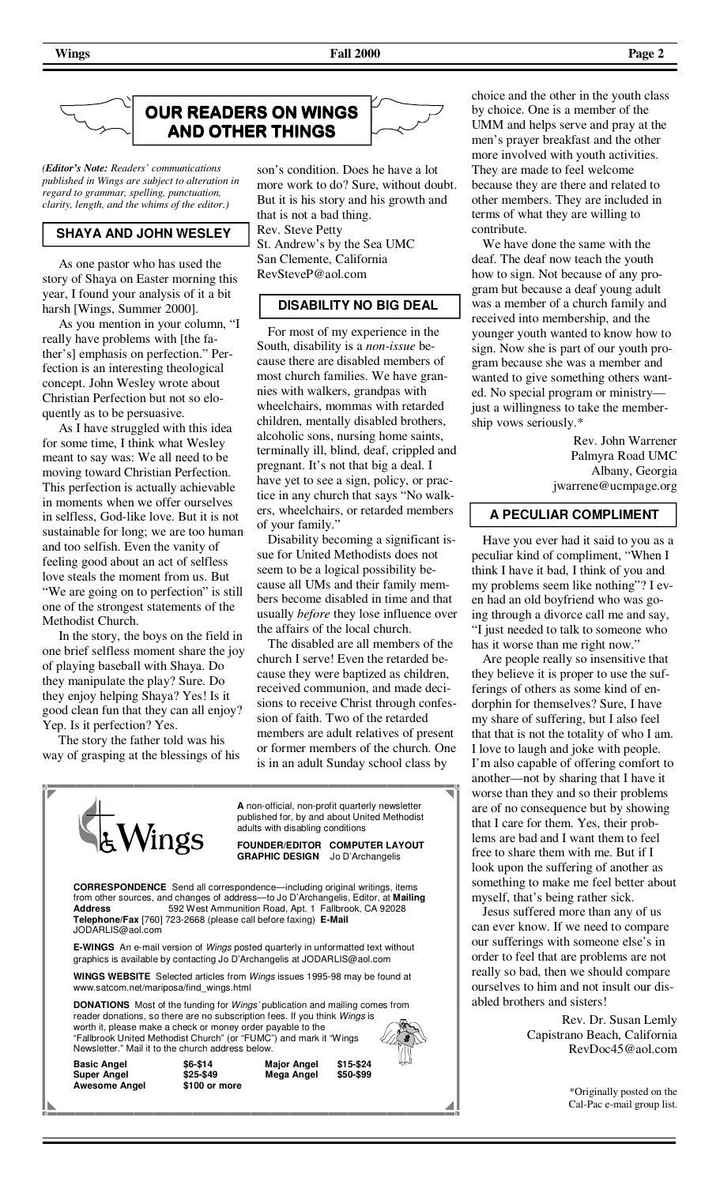

*(Editor's Note: Readers' communications published in Wings are subject to alteration in regard to grammar, spelling, punctuation, clarity, length, and the whims of the editor.)* 

### **SHAYA AND JOHN WESLEY**

 As one pastor who has used the story of Shaya on Easter morning this year, I found your analysis of it a bit harsh [Wings, Summer 2000].

 As you mention in your column, "I really have problems with [the father's] emphasis on perfection." Perfection is an interesting theological concept. John Wesley wrote about Christian Perfection but not so eloquently as to be persuasive.

 As I have struggled with this idea for some time, I think what Wesley meant to say was: We all need to be moving toward Christian Perfection. This perfection is actually achievable in moments when we offer ourselves in selfless, God-like love. But it is not sustainable for long; we are too human and too selfish. Even the vanity of feeling good about an act of selfless love steals the moment from us. But "We are going on to perfection" is still one of the strongest statements of the Methodist Church.

 In the story, the boys on the field in one brief selfless moment share the joy of playing baseball with Shaya. Do they manipulate the play? Sure. Do they enjoy helping Shaya? Yes! Is it good clean fun that they can all enjoy? Yep. Is it perfection? Yes.

 The story the father told was his way of grasping at the blessings of his

**Awesome Angel** 



son's condition. Does he have a lot more work to do? Sure, without doubt. But it is his story and his growth and that is not a bad thing. Rev. Steve Petty St. Andrew's by the Sea UMC San Clemente, California RevSteveP@aol.com

## **DISABILITY NO BIG DEAL**

 For most of my experience in the South, disability is a *non-issue* because there are disabled members of most church families. We have grannies with walkers, grandpas with wheelchairs, mommas with retarded children, mentally disabled brothers, alcoholic sons, nursing home saints, terminally ill, blind, deaf, crippled and pregnant. It's not that big a deal. I have yet to see a sign, policy, or practice in any church that says "No walkers, wheelchairs, or retarded members of your family."

 Disability becoming a significant issue for United Methodists does not seem to be a logical possibility because all UMs and their family members become disabled in time and that usually *before* they lose influence over the affairs of the local church.

 The disabled are all members of the church I serve! Even the retarded because they were baptized as children, received communion, and made decisions to receive Christ through confession of faith. Two of the retarded members are adult relatives of present or former members of the church. One is in an adult Sunday school class by





choice and the other in the youth class by choice. One is a member of the UMM and helps serve and pray at the men's prayer breakfast and the other more involved with youth activities. They are made to feel welcome because they are there and related to other members. They are included in terms of what they are willing to contribute.

 We have done the same with the deaf. The deaf now teach the youth how to sign. Not because of any program but because a deaf young adult was a member of a church family and received into membership, and the younger youth wanted to know how to sign. Now she is part of our youth program because she was a member and wanted to give something others wanted. No special program or ministry just a willingness to take the membership vows seriously.\*

> Rev. John Warrener Palmyra Road UMC Albany, Georgia jwarrene@ucmpage.org

#### **A PECULIAR COMPLIMENT**

 Have you ever had it said to you as a peculiar kind of compliment, "When I think I have it bad, I think of you and my problems seem like nothing"? I even had an old boyfriend who was going through a divorce call me and say, "I just needed to talk to someone who has it worse than me right now."

 Are people really so insensitive that they believe it is proper to use the sufferings of others as some kind of endorphin for themselves? Sure, I have my share of suffering, but I also feel that that is not the totality of who I am. I love to laugh and joke with people. I'm also capable of offering comfort to another—not by sharing that I have it worse than they and so their problems are of no consequence but by showing that I care for them. Yes, their problems are bad and I want them to feel free to share them with me. But if I look upon the suffering of another as something to make me feel better about myself, that's being rather sick.

 Jesus suffered more than any of us can ever know. If we need to compare our sufferings with someone else's in order to feel that are problems are not really so bad, then we should compare ourselves to him and not insult our disabled brothers and sisters!

> Rev. Dr. Susan Lemly Capistrano Beach, California RevDoc45@aol.com

> > \*Originally posted on the Cal-Pac e-mail group list.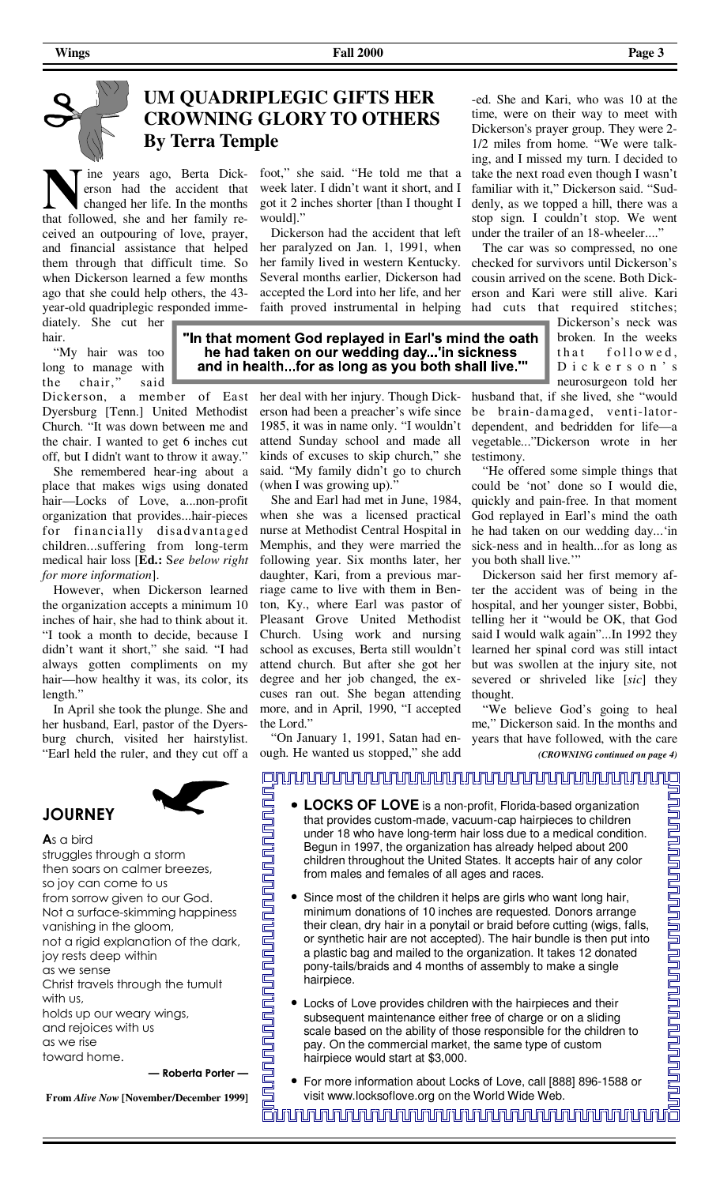## **UM QUADRIPLEGIC GIFTS HER CROWNING GLORY TO OTHERS By Terra Temple**

 ine years ago, Berta Dickerson had the accident that changed her life. In the months that followed, she and her family received an outpouring of love, prayer, and financial assistance that helped them through that difficult time. So when Dickerson learned a few months ago that she could help others, the 43 year-old quadriplegic responded immediately. She cut her

hair. "My hair was too

long to manage with the chair," said Dickerson, a member of East Dyersburg [Tenn.] United Methodist Church. "It was down between me and the chair. I wanted to get 6 inches cut off, but I didn't want to throw it away."

 She remembered hear-ing about a place that makes wigs using donated hair—Locks of Love, a...non-profit organization that provides...hair-pieces for financia lly disadvantaged children...suffering from long-term medical hair loss [**Ed.:** S*ee below right for more information*].

 However, when Dickerson learned the organization accepts a minimum 10 inches of hair, she had to think about it. "I took a month to decide, because I didn't want it short," she said. "I had always gotten compliments on my hair—how healthy it was, its color, its length."

 In April she took the plunge. She and her husband, Earl, pastor of the Dyersburg church, visited her hairstylist. "Earl held the ruler, and they cut off a



# **JOURNEY**

**A**s a bird struggles through a storm then soars on calmer breezes, so joy can come to us from sorrow given to our God. Not a surface-skimming happiness vanishing in the gloom, not a rigid explanation of the dark, joy rests deep within as we sense Christ travels through the tumult with us, holds up our weary wings, and rejoices with us as we rise toward home. **— Roberta Porter —**

**From** *Alive Now* **[November/December 1999]**

foot," she said. "He told me that a week later. I didn't want it short, and I got it 2 inches shorter [than I thought I would]."

 Dickerson had the accident that left her paralyzed on Jan. 1, 1991, when her family lived in western Kentucky. Several months earlier, Dickerson had accepted the Lord into her life, and her faith proved instrumental in helping

"In that moment God replayed in Earl's mind the oath he had taken on our wedding day...'in sickness and in health...for as long as you both shall live.""

> her deal with her injury. Though Dickerson had been a preacher's wife since 1985, it was in name only. "I wouldn't attend Sunday school and made all kinds of excuses to skip church," she said. "My family didn't go to church (when I was growing up)."

> She and Earl had met in June, 1984, when she was a licensed practical nurse at Methodist Central Hospital in Memphis, and they were married the following year. Six months later, her daughter, Kari, from a previous marriage came to live with them in Benton, Ky., where Earl was pastor of Pleasant Grove United Methodist Church. Using work and nursing school as excuses, Berta still wouldn't attend church. But after she got her degree and her job changed, the excuses ran out. She began attending more, and in April, 1990, "I accepted the Lord."

> "On January 1, 1991, Satan had enough. He wanted us stopped," she add

-ed. She and Kari, who was 10 at the time, were on their way to meet with Dickerson's prayer group. They were 2- 1/2 miles from home. "We were talking, and I missed my turn. I decided to take the next road even though I wasn't familiar with it," Dickerson said. "Suddenly, as we topped a hill, there was a stop sign. I couldn't stop. We went under the trailer of an 18-wheeler...."

 The car was so compressed, no one checked for survivors until Dickerson's cousin arrived on the scene. Both Dickerson and Kari were still alive. Kari had cuts that required stitches;

Dickerson's neck was broken. In the weeks that followed, D i c k e r s o n ' s neurosurgeon told her

husband that, if she lived, she "would be brain-damaged, venti-latordependent, and bedridden for life—a vegetable..."Dickerson wrote in her testimony.

 "He offered some simple things that could be 'not' done so I would die, quickly and pain-free. In that moment God replayed in Earl's mind the oath he had taken on our wedding day...'in sick-ness and in health...for as long as you both shall live."

 Dickerson said her first memory after the accident was of being in the hospital, and her younger sister, Bobbi, telling her it "would be OK, that God said I would walk again"...In 1992 they learned her spinal cord was still intact but was swollen at the injury site, not severed or shriveled like [*sic*] they thought.

 "We believe God's going to heal me," Dickerson said. In the months and years that have followed, with the care *(CROWNING continued on page 4)* 

# <u>ojuunnunnunnunnunnunnunnun valtiomaan valtiomaan valtiomaan valtiomaan valtiomaan valtiomaan valtiomaan valti</u> <u>na kwa mana mama mana mana mana mana mwaka wa mwaka wa mwaka wa mwaka wa mwaka wa waka wa waka wa waka wa wak</u> <u>un ganada gan baharan dan ma</u>

- **LOCKS OF LOVE** is a non-profit, Florida-based organization that provides custom-made, vacuum-cap hairpieces to children under 18 who have long-term hair loss due to a medical condition. Begun in 1997, the organization has already helped about 200 children throughout the United States. It accepts hair of any color from males and females of all ages and races.
	- Since most of the children it helps are girls who want long hair, minimum donations of 10 inches are requested. Donors arrange their clean, dry hair in a ponytail or braid before cutting (wigs, falls, or synthetic hair are not accepted). The hair bundle is then put into a plastic bag and mailed to the organization. It takes 12 donated pony-tails/braids and 4 months of assembly to make a single hairpiece.
- Locks of Love provides children with the hairpieces and their subsequent maintenance either free of charge or on a sliding scale based on the ability of those responsible for the children to pay. On the commercial market, the same type of custom hairpiece would start at \$3,000.
- For more information about Locks of Love, call [888] 896-1588 or visit www.locksoflove.org on the World Wide Web.